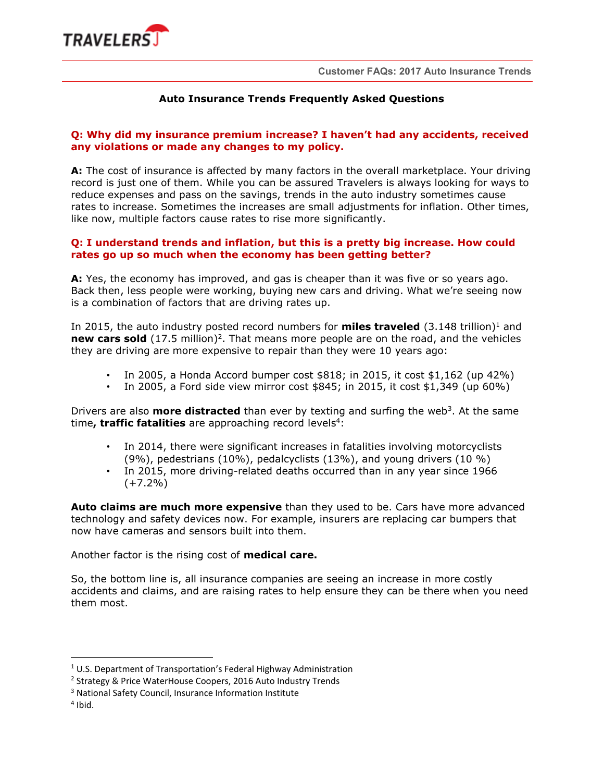

# **Auto Insurance Trends Frequently Asked Questions**

## **Q: Why did my insurance premium increase? I haven't had any accidents, received any violations or made any changes to my policy.**

**A:** The cost of insurance is affected by many factors in the overall marketplace. Your driving record is just one of them. While you can be assured Travelers is always looking for ways to reduce expenses and pass on the savings, trends in the auto industry sometimes cause rates to increase. Sometimes the increases are small adjustments for inflation. Other times, like now, multiple factors cause rates to rise more significantly.

### **Q: I understand trends and inflation, but this is a pretty big increase. How could rates go up so much when the economy has been getting better?**

**A:** Yes, the economy has improved, and gas is cheaper than it was five or so years ago. Back then, less people were working, buying new cars and driving. What we're seeing now is a combination of factors that are driving rates up.

In 2015, the auto industry posted record numbers for **miles traveled**  $(3.148 \text{ trillion})^1$  and new cars sold (17.5 million)<sup>2</sup>. That means more people are on the road, and the vehicles they are driving are more expensive to repair than they were 10 years ago:

- In 2005, a Honda Accord bumper cost \$818; in 2015, it cost \$1,162 (up 42%)
- In 2005, a Ford side view mirror cost  $$845$ ; in 2015, it cost  $$1,349$  (up 60%)

Drivers are also **more distracted** than ever by texting and surfing the web<sup>3</sup>. At the same time, traffic fatalities are approaching record levels<sup>4</sup>:

- In 2014, there were significant increases in fatalities involving motorcyclists  $(9\%)$ , pedestrians  $(10\%)$ , pedalcyclists  $(13\%)$ , and young drivers  $(10\%)$
- In 2015, more driving-related deaths occurred than in any year since 1966  $(+7.2\%)$

**Auto claims are much more expensive** than they used to be. Cars have more advanced technology and safety devices now. For example, insurers are replacing car bumpers that now have cameras and sensors built into them.

Another factor is the rising cost of **medical care.** 

So, the bottom line is, all insurance companies are seeing an increase in more costly accidents and claims, and are raising rates to help ensure they can be there when you need them most.

-

<sup>&</sup>lt;sup>1</sup> U.S. Department of Transportation's Federal Highway Administration

<sup>&</sup>lt;sup>2</sup> Strategy & Price WaterHouse Coopers, 2016 Auto Industry Trends

<sup>3</sup> National Safety Council, Insurance Information Institute

<sup>4</sup> Ibid.